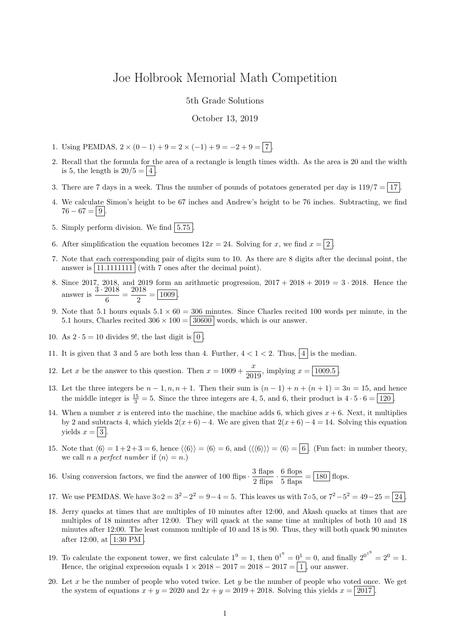## Joe Holbrook Memorial Math Competition

5th Grade Solutions

October 13, 2019

- 1. Using PEMDAS,  $2 \times (0 1) + 9 = 2 \times (-1) + 9 = -2 + 9 = 7$ .
- 2. Recall that the formula for the area of a rectangle is length times width. As the area is 20 and the width is 5, the length is  $20/5 = 4$ .
- 3. There are 7 days in a week. Thus the number of pounds of potatoes generated per day is  $119/7 = 17$ .
- 4. We calculate Simon's height to be 67 inches and Andrew's height to be 76 inches. Subtracting, we find  $76 - 67 = |9|$
- 5. Simply perform division. We find  $|5.75|$
- 6. After simplification the equation becomes  $12x = 24$ . Solving for x, we find  $x = \boxed{2}$ .
- 7. Note that each corresponding pair of digits sum to 10. As there are 8 digits after the decimal point, the answer is 11.1111111 (with 7 ones after the decimal point).
- 8. Since 2017, 2018, and 2019 form an arithmetic progression,  $2017 + 2018 + 2019 = 3 \cdot 2018$ . Hence the answer is  $\frac{3 \cdot 2018}{c}$  $\frac{2018}{6} = \frac{2018}{2}$  $\frac{2}{2} = \boxed{1009}.$
- 9. Note that 5.1 hours equals  $5.1 \times 60 = 306$  minutes. Since Charles recited 100 words per minute, in the 5.1 hours, Charles recited  $306 \times 100 = 30600$  words, which is our answer.
- 10. As  $2 \cdot 5 = 10$  divides 9!, the last digit is  $|0|$ .
- 11. It is given that 3 and 5 are both less than 4. Further,  $4 < 1 < 2$ . Thus,  $\boxed{4}$  is the median.
- 12. Let x be the answer to this question. Then  $x = 1009 + \frac{x}{200}$  $\frac{x}{2019}$ , implying  $x = \boxed{1009.5}$ .
- 13. Let the three integers be  $n-1, n, n+1$ . Then their sum is  $(n-1) + n + (n+1) = 3n = 15$ , and hence the middle integer is  $\frac{15}{3} = 5$ . Since the three integers are 4, 5, and 6, their product is  $4 \cdot 5 \cdot 6 = 120$ .
- 14. When a number x is entered into the machine, the machine adds 6, which gives  $x + 6$ . Next, it multiplies by 2 and subtracts 4, which yields  $2(x+6)-4$ . We are given that  $2(x+6)-4=14$ . Solving this equation yields  $x = |3|$ .
- 15. Note that  $\langle 6 \rangle = 1 + 2 + 3 = 6$ , hence  $\langle 6 \rangle = \langle 6 \rangle = 6$ , and  $\langle \langle 6 \rangle \rangle = \langle 6 \rangle = 6$ . (Fun fact: in number theory, we call n a perfect number if  $\langle n \rangle = n$ .)

16. Using conversion factors, we find the answer of 100 flips  $\cdot \frac{3 \text{ flaps}}{2 \text{ flips}} \cdot \frac{6 \text{ flops}}{5 \text{ flaps}} = 180 \text{ flops}.$ 

- 17. We use PEMDAS. We have  $3 \circ 2 = 3^2 2^2 = 9 4 = 5$ . This leaves us with  $7 \circ 5$ , or  $7^2 5^2 = 49 25 = 24$ .
- 18. Jerry quacks at times that are multiples of 10 minutes after 12:00, and Akash quacks at times that are multiples of 18 minutes after 12:00. They will quack at the same time at multiples of both 10 and 18 minutes after 12:00. The least common multiple of 10 and 18 is 90. Thus, they will both quack 90 minutes after 12:00, at  $\boxed{1:30 \text{ PM}}$ .
- 19. To calculate the exponent tower, we first calculate  $1^9 = 1$ , then  $0^{1^9} = 0^1 = 0$ , and finally  $2^{0^{1^9}} = 2^0 = 1$ . Hence, the original expression equals  $1 \times 2018 - 2017 = 2018 - 2017 = 1$ , our answer.
- 20. Let x be the number of people who voted twice. Let y be the number of people who voted once. We get the system of equations  $x + y = 2020$  and  $2x + y = 2019 + 2018$ . Solving this yields  $x = 2017$ .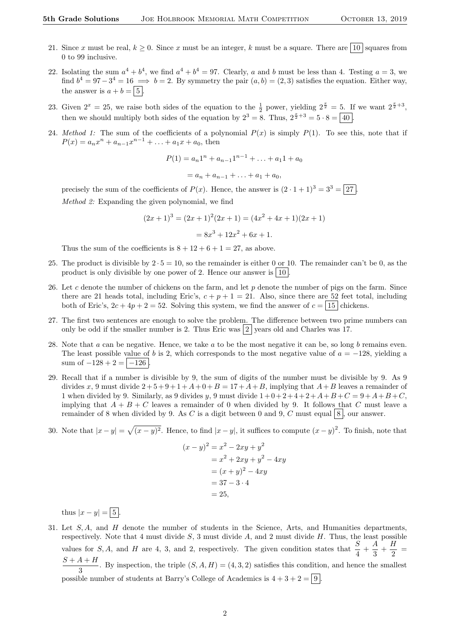- 21. Since x must be real,  $k \geq 0$ . Since x must be an integer, k must be a square. There are  $\boxed{10}$  squares from 0 to 99 inclusive.
- 22. Isolating the sum  $a^4 + b^4$ , we find  $a^4 + b^4 = 97$ . Clearly, a and b must be less than 4. Testing  $a = 3$ , we find  $b^4 = 97-3^4 = 16 \implies b = 2$ . By symmetry the pair  $(a, b) = (2, 3)$  satisfies the equation. Either way, the answer is  $a + b = \boxed{5}$ .
- 23. Given  $2^x = 25$ , we raise both sides of the equation to the  $\frac{1}{2}$  power, yielding  $2^{\frac{x}{2}} = 5$ . If we want  $2^{\frac{x}{2}+3}$ , then we should multiply both sides of the equation by  $2^3 = 8$ . Thus,  $2^{\frac{x}{2}+3} = 5 \cdot 8 = \boxed{40}$ .
- 24. Method 1: The sum of the coefficients of a polynomial  $P(x)$  is simply  $P(1)$ . To see this, note that if  $P(x) = a_n x^n + a_{n-1} x^{n-1} + \ldots + a_1 x + a_0$ , then

$$
P(1) = a_n 1^n + a_{n-1} 1^{n-1} + \dots + a_1 1 + a_0
$$
  
=  $a_n + a_{n-1} + \dots + a_1 + a_0$ ,

precisely the sum of the coefficients of  $P(x)$ . Hence, the answer is  $(2 \cdot 1 + 1)^3 = 3^3 = 27$ . Method 2: Expanding the given polynomial, we find

$$
(2x+1)3 = (2x+1)2(2x+1) = (4x2 + 4x + 1)(2x + 1)
$$

$$
= 8x3 + 12x2 + 6x + 1.
$$

Thus the sum of the coefficients is  $8 + 12 + 6 + 1 = 27$ , as above.

- 25. The product is divisible by  $2 \cdot 5 = 10$ , so the remainder is either 0 or 10. The remainder can't be 0, as the product is only divisible by one power of 2. Hence our answer is  $|10|$ .
- 26. Let c denote the number of chickens on the farm, and let  $p$  denote the number of pigs on the farm. Since there are 21 heads total, including Eric's,  $c + p + 1 = 21$ . Also, since there are 52 feet total, including both of Eric's,  $2c + 4p + 2 = 52$ . Solving this system, we find the answer of  $c = \boxed{15}$  chickens.
- 27. The first two sentences are enough to solve the problem. The difference between two prime numbers can only be odd if the smaller number is 2. Thus Eric was  $|2|$  years old and Charles was 17.
- 28. Note that a can be negative. Hence, we take a to be the most negative it can be, so long b remains even. The least possible value of b is 2, which corresponds to the most negative value of  $a = -128$ , yielding a sum of  $-128 + 2 = |-126|$
- 29. Recall that if a number is divisible by 9, the sum of digits of the number must be divisible by 9. As 9 divides x, 9 must divide  $2+5+9+1+A+0+B=17+A+B$ , implying that  $A+B$  leaves a remainder of 1 when divided by 9. Similarly, as 9 divides y, 9 must divide  $1+0+2+4+2+A+B+C = 9+A+B+C$ , implying that  $A + B + C$  leaves a remainder of 0 when divided by 9. It follows that C must leave a remainder of 8 when divided by 9. As C is a digit between 0 and 9, C must equal  $8$ , our answer.
- 30. Note that  $|x-y| = \sqrt{(x-y)^2}$ . Hence, to find  $|x-y|$ , it suffices to compute  $(x-y)^2$ . To finish, note that

$$
(x - y)^2 = x^2 - 2xy + y^2
$$
  
= x<sup>2</sup> + 2xy + y<sup>2</sup> - 4xy  
= (x + y)<sup>2</sup> - 4xy  
= 37 - 3 \cdot 4  
= 25,

thus  $|x-y| = 5$ 

31. Let S, A, and H denote the number of students in the Science, Arts, and Humanities departments, respectively. Note that 4 must divide  $S$ , 3 must divide  $A$ , and 2 must divide  $H$ . Thus, the least possible values for S, A, and H are 4, 3, and 2, respectively. The given condition states that  $\frac{S}{4} + \frac{A}{3}$  $\frac{A}{3}+\frac{H}{2}$  $\frac{1}{2}$  =  $S + A + H$  $\frac{1+1}{3}$ . By inspection, the triple  $(S, A, H) = (4, 3, 2)$  satisfies this condition, and hence the smallest possible number of students at Barry's College of Academics is  $4 + 3 + 2 = |9|$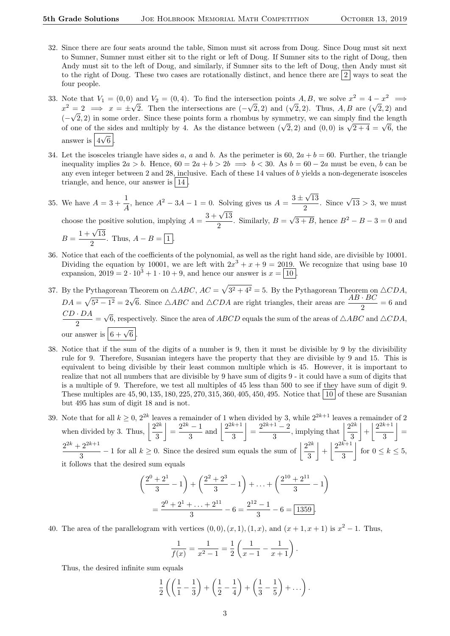- 32. Since there are four seats around the table, Simon must sit across from Doug. Since Doug must sit next to Sumner, Sumner must either sit to the right or left of Doug. If Sumner sits to the right of Doug, then Andy must sit to the left of Doug, and similarly, if Sumner sits to the left of Doug, then Andy must sit to the right of Doug. These two cases are rotationally distinct, and hence there are  $\frac{2}{3}$  ways to seat the four people.
- 33. Note that  $V_1 = (0,0)$  and  $V_2 = (0,4)$ . To find the intersection points  $A, B$ , we solve  $x^2 = 4 x^2 \implies$ Note that  $v_1 = (0,0)$  and  $v_2 = (0,4)$ . To find the intersection points A, B, we solve  $x = 4 - x \implies x^2 = 2 \implies x = \pm \sqrt{2}$ . Then the intersections are  $(-\sqrt{2}, 2)$  and  $(\sqrt{2}, 2)$ . Thus, A, B are  $(\sqrt{2}, 2)$  and  $(-\sqrt{2}, 2)$  in some order. Since these points form a rhombus by symmetry, we can simply find the length  $(-\sqrt{2}, 2)$  in some order. Since these points form a rhomous by symmetry, we can simply find the length of one of the sides and multiply by 4. As the distance between  $(\sqrt{2}, 2)$  and  $(0, 0)$  is  $\sqrt{2+4} = \sqrt{6}$ , the answer is  $\boxed{4\sqrt{6}}$ .
- 34. Let the isosceles triangle have sides a, a and b. As the perimeter is 60,  $2a + b = 60$ . Further, the triangle inequality implies  $2a > b$ . Hence,  $60 = 2a + b > 2b \implies b < 30$ . As  $b = 60 - 2a$  must be even, b can be any even integer between 2 and 28, inclusive. Each of these 14 values of b yields a non-degenerate isosceles triangle, and hence, our answer is  $|14|$ .
- 35. We have  $A = 3 + \frac{1}{4}$  $\frac{1}{A}$ , hence  $A^2 - 3A - 1 = 0$ . Solving gives us  $A = \frac{3 \pm \sqrt{3}}{2}$ √ 13  $\frac{\sqrt{13}}{2}$ . Since  $\sqrt{13} > 3$ , we must choose the positive solution, implying  $A = \frac{3 + \sqrt{13}}{2}$  $\frac{1}{2}$ . Similarly,  $B =$ √  $\overline{3+B}$ , hence  $B^2 - B - 3 = 0$  and  $1 + \sqrt{13}$

$$
B = \frac{1 + \sqrt{10}}{2}
$$
. Thus,  $A - B = \boxed{1}$ .

- 36. Notice that each of the coefficients of the polynomial, as well as the right hand side, are divisible by 10001. Dividing the equation by 10001, we are left with  $2x^3 + x + 9 = 2019$ . We recognize that using base 10 expansion,  $2019 = 2 \cdot 10^3 + 1 \cdot 10 + 9$ , and hence our answer is  $x = |10|$ .
- 37. By the Pythagorean Theorem on  $\triangle ABC$ ,  $AC = \sqrt{3^2 + 4^2} = 5$ . By the Pythagorean Theorem on  $\triangle CDA$ ,  $DA = \sqrt{5^2 - 1^2} = 2\sqrt{6}$ . Since  $\triangle ABC$  and  $\triangle CDA$  are right triangles, their areas are  $\frac{AB \cdot BC}{2} = 6$  and  $CD \cdot DA$  $\frac{2\pi}{2}$ √ 6, respectively. Since the area of ABCD equals the sum of the areas of  $\triangle ABC$  and  $\triangle CDA$ , our answer is  $\boxed{6 + \sqrt{6}}$ .
- 38. Notice that if the sum of the digits of a number is 9, then it must be divisible by 9 by the divisibility rule for 9. Therefore, Susanian integers have the property that they are divisible by 9 and 15. This is equivalent to being divisible by their least common multiple which is 45. However, it is important to realize that not all numbers that are divisible by 9 have sum of digits 9 - it could have a sum of digits that is a multiple of 9. Therefore, we test all multiples of 45 less than 500 to see if they have sum of digit 9. These multiples are  $45, 90, 135, 180, 225, 270, 315, 360, 405, 450, 495$ . Notice that  $\boxed{10}$  of these are Susanian but 495 has sum of digit 18 and is not.
- 39. Note that for all  $k \geq 0$ ,  $2^{2k}$  leaves a remainder of 1 when divided by 3, while  $2^{2k+1}$  leaves a remainder of 2 when divided by 3. Thus,  $\left| \frac{2^{2k}}{2} \right|$ 3  $=\frac{2^{2k}-1}{2}$  $\frac{(-1)}{3}$  and  $\frac{2^{2k+1}}{3}$ 3  $=\frac{2^{2k+1}-2}{2}$  $\frac{1-2}{3}$ , implying that  $\left|\frac{2^{2k}}{3}\right|$ 3  $\left|+\right| \frac{2^{2k+1}}{2}$ 3  $\vert$  =  $2^{2k}+2^{2k+1}$  $\frac{2^{2k+1}}{3} - 1$  for all  $k \ge 0$ . Since the desired sum equals the sum of  $\frac{2^{2k}}{3}$ 3  $\left|+\right| \frac{2^{2k+1}}{2}$ 3  $\left| \begin{array}{c} \text{for } 0 \leq k \leq 5, \end{array} \right|$ it follows that the desired sum equals

$$
\left(\frac{2^0 + 2^1}{3} - 1\right) + \left(\frac{2^2 + 2^3}{3} - 1\right) + \dots + \left(\frac{2^{10} + 2^{11}}{3} - 1\right)
$$

$$
= \frac{2^0 + 2^1 + \dots + 2^{11}}{3} - 6 = \frac{2^{12} - 1}{3} - 6 = \boxed{1359}.
$$

40. The area of the parallelogram with vertices  $(0,0), (x,1), (1,x),$  and  $(x+1,x+1)$  is  $x^2-1$ . Thus,

$$
\frac{1}{f(x)} = \frac{1}{x^2 - 1} = \frac{1}{2} \left( \frac{1}{x - 1} - \frac{1}{x + 1} \right).
$$

Thus, the desired infinite sum equals

$$
\frac{1}{2}\left(\left(\frac{1}{1}-\frac{1}{3}\right)+\left(\frac{1}{2}-\frac{1}{4}\right)+\left(\frac{1}{3}-\frac{1}{5}\right)+\ldots\right).
$$